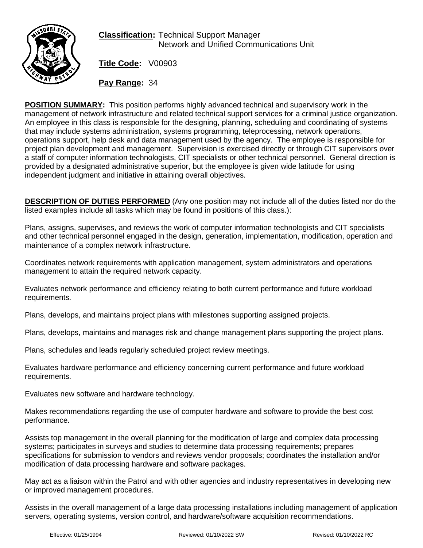

**Classification:** Technical Support Manager Network and Unified Communications Unit

**Title Code:** V00903

**Pay Range:** 34

**POSITION SUMMARY:** This position performs highly advanced technical and supervisory work in the management of network infrastructure and related technical support services for a criminal justice organization. An employee in this class is responsible for the designing, planning, scheduling and coordinating of systems that may include systems administration, systems programming, teleprocessing, network operations, operations support, help desk and data management used by the agency. The employee is responsible for project plan development and management. Supervision is exercised directly or through CIT supervisors over a staff of computer information technologists, CIT specialists or other technical personnel. General direction is provided by a designated administrative superior, but the employee is given wide latitude for using independent judgment and initiative in attaining overall objectives.

**DESCRIPTION OF DUTIES PERFORMED** (Any one position may not include all of the duties listed nor do the listed examples include all tasks which may be found in positions of this class.):

Plans, assigns, supervises, and reviews the work of computer information technologists and CIT specialists and other technical personnel engaged in the design, generation, implementation, modification, operation and maintenance of a complex network infrastructure.

Coordinates network requirements with application management, system administrators and operations management to attain the required network capacity.

Evaluates network performance and efficiency relating to both current performance and future workload requirements.

Plans, develops, and maintains project plans with milestones supporting assigned projects.

Plans, develops, maintains and manages risk and change management plans supporting the project plans.

Plans, schedules and leads regularly scheduled project review meetings.

Evaluates hardware performance and efficiency concerning current performance and future workload requirements.

Evaluates new software and hardware technology.

Makes recommendations regarding the use of computer hardware and software to provide the best cost performance.

Assists top management in the overall planning for the modification of large and complex data processing systems; participates in surveys and studies to determine data processing requirements; prepares specifications for submission to vendors and reviews vendor proposals; coordinates the installation and/or modification of data processing hardware and software packages.

May act as a liaison within the Patrol and with other agencies and industry representatives in developing new or improved management procedures.

Assists in the overall management of a large data processing installations including management of application servers, operating systems, version control, and hardware/software acquisition recommendations.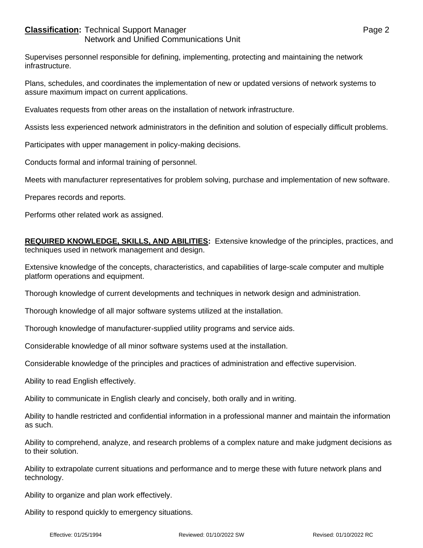## **Classification:** Technical Support Manager **Page 2** Page 2 Network and Unified Communications Unit

Supervises personnel responsible for defining, implementing, protecting and maintaining the network infrastructure.

Plans, schedules, and coordinates the implementation of new or updated versions of network systems to assure maximum impact on current applications.

Evaluates requests from other areas on the installation of network infrastructure.

Assists less experienced network administrators in the definition and solution of especially difficult problems.

Participates with upper management in policy-making decisions.

Conducts formal and informal training of personnel.

Meets with manufacturer representatives for problem solving, purchase and implementation of new software.

Prepares records and reports.

Performs other related work as assigned.

**REQUIRED KNOWLEDGE, SKILLS, AND ABILITIES:** Extensive knowledge of the principles, practices, and techniques used in network management and design.

Extensive knowledge of the concepts, characteristics, and capabilities of large-scale computer and multiple platform operations and equipment.

Thorough knowledge of current developments and techniques in network design and administration.

Thorough knowledge of all major software systems utilized at the installation.

Thorough knowledge of manufacturer-supplied utility programs and service aids.

Considerable knowledge of all minor software systems used at the installation.

Considerable knowledge of the principles and practices of administration and effective supervision.

Ability to read English effectively.

Ability to communicate in English clearly and concisely, both orally and in writing.

Ability to handle restricted and confidential information in a professional manner and maintain the information as such.

Ability to comprehend, analyze, and research problems of a complex nature and make judgment decisions as to their solution.

Ability to extrapolate current situations and performance and to merge these with future network plans and technology.

Ability to organize and plan work effectively.

Ability to respond quickly to emergency situations.